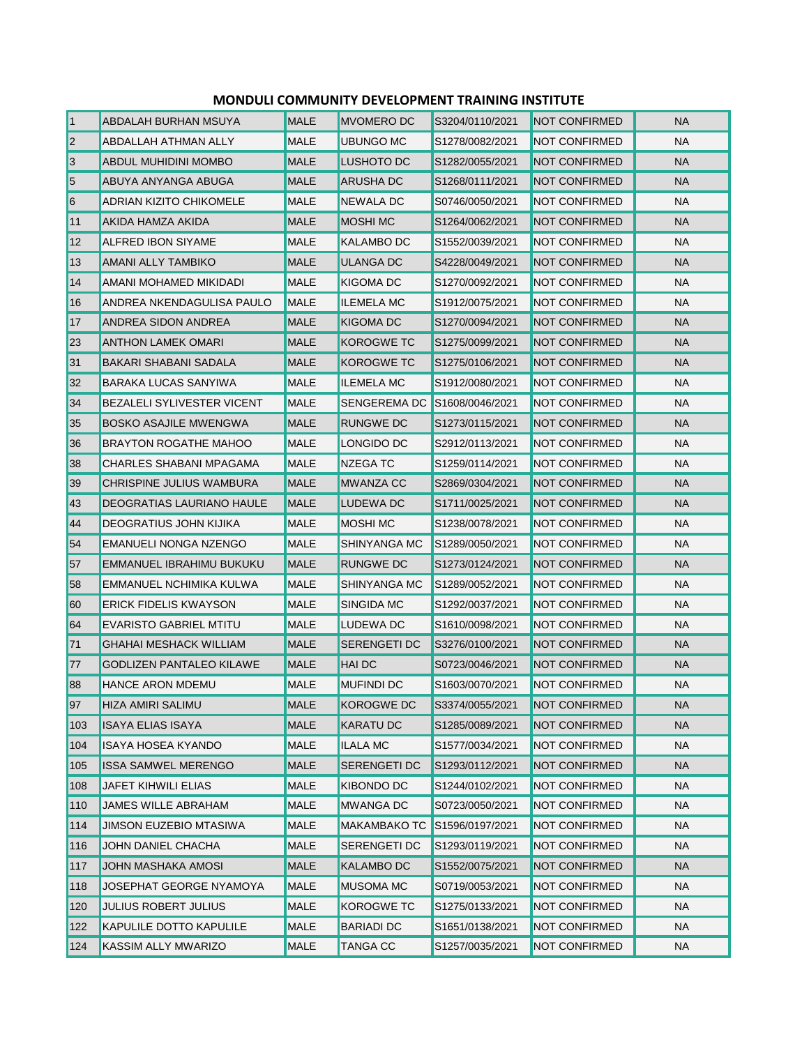| $\vert$ 1      | <b>ABDALAH BURHAN MSUYA</b>       | <b>MALE</b> | <b>MVOMERO DC</b>   | S3204/0110/2021 | <b>NOT CONFIRMED</b> | <b>NA</b> |
|----------------|-----------------------------------|-------------|---------------------|-----------------|----------------------|-----------|
| $\overline{2}$ | <b>ABDALLAH ATHMAN ALLY</b>       | MALE        | UBUNGO MC           | S1278/0082/2021 | <b>NOT CONFIRMED</b> | <b>NA</b> |
| 3              | <b>ABDUL MUHIDINI MOMBO</b>       | <b>MALE</b> | LUSHOTO DC          | S1282/0055/2021 | <b>NOT CONFIRMED</b> | <b>NA</b> |
| 5              | ABUYA ANYANGA ABUGA               | <b>MALE</b> | ARUSHA DC           | S1268/0111/2021 | <b>NOT CONFIRMED</b> | <b>NA</b> |
| 6              | ADRIAN KIZITO CHIKOMELE           | <b>MALE</b> | NEWALA DC           | S0746/0050/2021 | <b>NOT CONFIRMED</b> | NA        |
| 11             | AKIDA HAMZA AKIDA                 | <b>MALE</b> | <b>MOSHI MC</b>     | S1264/0062/2021 | <b>NOT CONFIRMED</b> | <b>NA</b> |
| 12             | <b>ALFRED IBON SIYAME</b>         | MALE        | KALAMBO DC          | S1552/0039/2021 | <b>NOT CONFIRMED</b> | <b>NA</b> |
| 13             | <b>AMANI ALLY TAMBIKO</b>         | <b>MALE</b> | ULANGA DC           | S4228/0049/2021 | <b>NOT CONFIRMED</b> | <b>NA</b> |
| 14             | AMANI MOHAMED MIKIDADI            | MALE        | KIGOMA DC           | S1270/0092/2021 | <b>NOT CONFIRMED</b> | NA        |
| 16             | ANDREA NKENDAGULISA PAULO         | <b>MALE</b> | <b>ILEMELA MC</b>   | S1912/0075/2021 | <b>NOT CONFIRMED</b> | NA        |
| 17             | ANDREA SIDON ANDREA               | <b>MALE</b> | KIGOMA DC           | S1270/0094/2021 | <b>NOT CONFIRMED</b> | <b>NA</b> |
| 23             | <b>ANTHON LAMEK OMARI</b>         | <b>MALE</b> | <b>KOROGWE TC</b>   | S1275/0099/2021 | <b>NOT CONFIRMED</b> | <b>NA</b> |
| 31             | BAKARI SHABANI SADALA             | <b>MALE</b> | <b>KOROGWE TC</b>   | S1275/0106/2021 | <b>NOT CONFIRMED</b> | <b>NA</b> |
| 32             | <b>BARAKA LUCAS SANYIWA</b>       | <b>MALE</b> | <b>ILEMELA MC</b>   | S1912/0080/2021 | <b>NOT CONFIRMED</b> | NA        |
| 34             | <b>BEZALELI SYLIVESTER VICENT</b> | <b>MALE</b> | SENGEREMA DC        | S1608/0046/2021 | <b>NOT CONFIRMED</b> | NA        |
| 35             | <b>BOSKO ASAJILE MWENGWA</b>      | MALE        | RUNGWE DC           | S1273/0115/2021 | <b>NOT CONFIRMED</b> | <b>NA</b> |
| 36             | <b>BRAYTON ROGATHE MAHOO</b>      | <b>MALE</b> | LONGIDO DC          | S2912/0113/2021 | <b>NOT CONFIRMED</b> | NA        |
| 38             | CHARLES SHABANI MPAGAMA           | MALE        | NZEGA TC            | S1259/0114/2021 | <b>NOT CONFIRMED</b> | NA        |
| 39             | CHRISPINE JULIUS WAMBURA          | <b>MALE</b> | MWANZA CC           | S2869/0304/2021 | <b>NOT CONFIRMED</b> | <b>NA</b> |
| 43             | DEOGRATIAS LAURIANO HAULE         | <b>MALE</b> | LUDEWA DC           | S1711/0025/2021 | <b>NOT CONFIRMED</b> | <b>NA</b> |
| 44             | DEOGRATIUS JOHN KIJIKA            | MALE        | MOSHI MC            | S1238/0078/2021 | <b>NOT CONFIRMED</b> | NA        |
| 54             | <b>EMANUELI NONGA NZENGO</b>      | MALE        | SHINYANGA MC        | S1289/0050/2021 | <b>NOT CONFIRMED</b> | NA        |
| 57             | <b>EMMANUEL IBRAHIMU BUKUKU</b>   | <b>MALE</b> | RUNGWE DC           | S1273/0124/2021 | <b>NOT CONFIRMED</b> | <b>NA</b> |
| 58             | EMMANUEL NCHIMIKA KULWA           | MALE        | SHINYANGA MC        | S1289/0052/2021 | <b>NOT CONFIRMED</b> | NA        |
| 60             | <b>ERICK FIDELIS KWAYSON</b>      | <b>MALE</b> | SINGIDA MC          | S1292/0037/2021 | <b>NOT CONFIRMED</b> | NA        |
| 64             | <b>EVARISTO GABRIEL MTITU</b>     | <b>MALE</b> | LUDEWA DC           | S1610/0098/2021 | <b>NOT CONFIRMED</b> | NA        |
| 71             | GHAHAI MESHACK WILLIAM            | <b>MALE</b> | <b>SERENGETI DC</b> | S3276/0100/2021 | <b>NOT CONFIRMED</b> | <b>NA</b> |
| 77             | <b>GODLIZEN PANTALEO KILAWE</b>   | <b>MALE</b> | <b>HAI DC</b>       | S0723/0046/2021 | <b>NOT CONFIRMED</b> | NA.       |
| 88             | <b>HANCE ARON MDEMU</b>           | MALE        | <b>MUFINDI DC</b>   | S1603/0070/2021 | <b>NOT CONFIRMED</b> | NA        |
| 97             | <b>HIZA AMIRI SALIMU</b>          | <b>MALE</b> | <b>KOROGWE DC</b>   | S3374/0055/2021 | <b>NOT CONFIRMED</b> | NA        |
| 103            | <b>ISAYA ELIAS ISAYA</b>          | MALE        | KARATU DC           | S1285/0089/2021 | <b>NOT CONFIRMED</b> | <b>NA</b> |
| 104            | <b>ISAYA HOSEA KYANDO</b>         | MALE        | ILALA MC            | S1577/0034/2021 | <b>NOT CONFIRMED</b> | NA        |
| 105            | <b>ISSA SAMWEL MERENGO</b>        | MALE        | SERENGETI DC        | S1293/0112/2021 | <b>NOT CONFIRMED</b> | NA.       |
| 108            | JAFET KIHWILI ELIAS               | <b>MALE</b> | KIBONDO DC          | S1244/0102/2021 | <b>NOT CONFIRMED</b> | NA.       |
| 110            | <b>JAMES WILLE ABRAHAM</b>        | MALE        | <b>MWANGA DC</b>    | S0723/0050/2021 | <b>NOT CONFIRMED</b> | NA.       |
| 114            | JIMSON EUZEBIO MTASIWA            | MALE        | <b>MAKAMBAKO TC</b> | S1596/0197/2021 | <b>NOT CONFIRMED</b> | NA.       |
| 116            | JOHN DANIEL CHACHA                | MALE        | SERENGETI DC        | S1293/0119/2021 | <b>NOT CONFIRMED</b> | NA.       |
| 117            | <b>JOHN MASHAKA AMOSI</b>         | MALE        | KALAMBO DC          | S1552/0075/2021 | <b>NOT CONFIRMED</b> | NA        |
| 118            | JOSEPHAT GEORGE NYAMOYA           | <b>MALE</b> | MUSOMA MC           | S0719/0053/2021 | <b>NOT CONFIRMED</b> | NA.       |
| 120            | JULIUS ROBERT JULIUS              | MALE        | KOROGWE TC          | S1275/0133/2021 | <b>NOT CONFIRMED</b> | NA.       |
| 122            | KAPULILE DOTTO KAPULILE           | MALE        | BARIADI DC          | S1651/0138/2021 | <b>NOT CONFIRMED</b> | NA.       |
| 124            | KASSIM ALLY MWARIZO               | <b>MALE</b> | <b>TANGA CC</b>     | S1257/0035/2021 | NOT CONFIRMED        | <b>NA</b> |